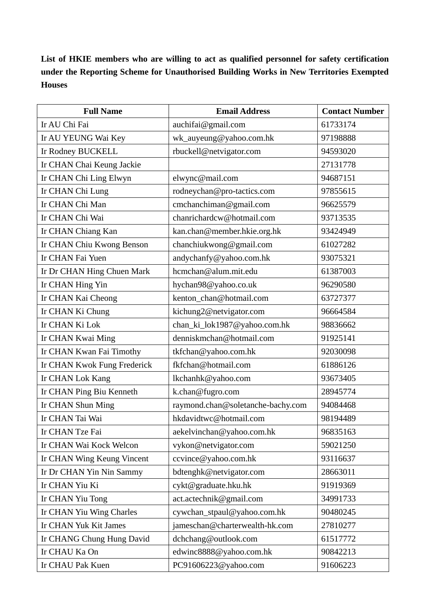**List of HKIE members who are willing to act as qualified personnel for safety certification under the Reporting Scheme for Unauthorised Building Works in New Territories Exempted Houses**

| <b>Full Name</b>            | <b>Email Address</b>              | <b>Contact Number</b> |
|-----------------------------|-----------------------------------|-----------------------|
| Ir AU Chi Fai               | auchifai@gmail.com                | 61733174              |
| Ir AU YEUNG Wai Key         | wk_auyeung@yahoo.com.hk           | 97198888              |
| Ir Rodney BUCKELL           | rbuckell@netvigator.com           | 94593020              |
| Ir CHAN Chai Keung Jackie   |                                   | 27131778              |
| Ir CHAN Chi Ling Elwyn      | elwync@mail.com                   | 94687151              |
| Ir CHAN Chi Lung            | rodneychan@pro-tactics.com        | 97855615              |
| Ir CHAN Chi Man             | cmchanchiman@gmail.com            | 96625579              |
| Ir CHAN Chi Wai             | chanrichardcw@hotmail.com         | 93713535              |
| Ir CHAN Chiang Kan          | kan.chan@member.hkie.org.hk       | 93424949              |
| Ir CHAN Chiu Kwong Benson   | chanchiukwong@gmail.com           | 61027282              |
| Ir CHAN Fai Yuen            | andychanfy@yahoo.com.hk           | 93075321              |
| Ir Dr CHAN Hing Chuen Mark  | hcmchan@alum.mit.edu              | 61387003              |
| Ir CHAN Hing Yin            | hychan98@yahoo.co.uk              | 96290580              |
| Ir CHAN Kai Cheong          | kenton_chan@hotmail.com           | 63727377              |
| Ir CHAN Ki Chung            | kichung2@netvigator.com           | 96664584              |
| Ir CHAN Ki Lok              | chan_ki_lok1987@yahoo.com.hk      | 98836662              |
| Ir CHAN Kwai Ming           | denniskmchan@hotmail.com          | 91925141              |
| Ir CHAN Kwan Fai Timothy    | tkfchan@yahoo.com.hk              | 92030098              |
| Ir CHAN Kwok Fung Frederick | fkfchan@hotmail.com               | 61886126              |
| Ir CHAN Lok Kang            | lkchanhk@yahoo.com                | 93673405              |
| Ir CHAN Ping Biu Kenneth    | k.chan@fugro.com                  | 28945774              |
| Ir CHAN Shun Ming           | raymond.chan@soletanche-bachy.com | 94084468              |
| Ir CHAN Tai Wai             | hkdavidtwc@hotmail.com            | 98194489              |
| Ir CHAN Tze Fai             | aekelvinchan@yahoo.com.hk         | 96835163              |
| Ir CHAN Wai Kock Welcon     | vykon@netvigator.com              | 59021250              |
| Ir CHAN Wing Keung Vincent  | ccvince@yahoo.com.hk              | 93116637              |
| Ir Dr CHAN Yin Nin Sammy    | bdtenghk@netvigator.com           | 28663011              |
| Ir CHAN Yiu Ki              | cykt@graduate.hku.hk              | 91919369              |
| Ir CHAN Yiu Tong            | act.actechnik@gmail.com           | 34991733              |
| Ir CHAN Yiu Wing Charles    | cywchan_stpaul@yahoo.com.hk       | 90480245              |
| Ir CHAN Yuk Kit James       | jameschan@charterwealth-hk.com    | 27810277              |
| Ir CHANG Chung Hung David   | dchchang@outlook.com              | 61517772              |
| Ir CHAU Ka On               | edwinc8888@yahoo.com.hk           | 90842213              |
| Ir CHAU Pak Kuen            | PC91606223@yahoo.com              | 91606223              |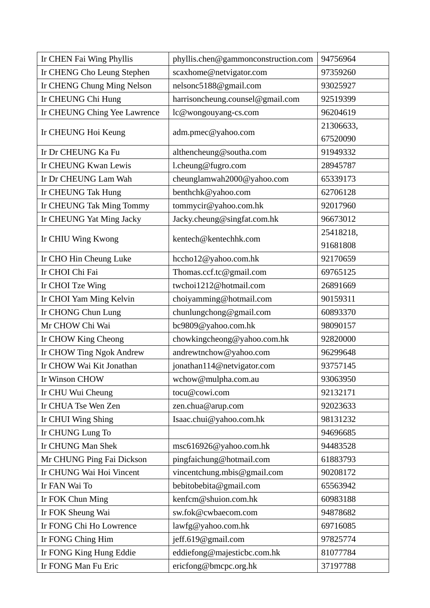| Ir CHEN Fai Wing Phyllis     | phyllis.chen@gammonconstruction.com | 94756964  |
|------------------------------|-------------------------------------|-----------|
| Ir CHENG Cho Leung Stephen   | scaxhome@netvigator.com             | 97359260  |
| Ir CHENG Chung Ming Nelson   | nelsonc5188@gmail.com               | 93025927  |
| Ir CHEUNG Chi Hung           | harrisoncheung.counsel@gmail.com    | 92519399  |
| Ir CHEUNG Ching Yee Lawrence | lc@wongouyang-cs.com                | 96204619  |
|                              |                                     | 21306633, |
| Ir CHEUNG Hoi Keung          | adm.pmec@yahoo.com                  | 67520090  |
| Ir Dr CHEUNG Ka Fu           | althencheung@southa.com             | 91949332  |
| Ir CHEUNG Kwan Lewis         | l.cheung@fugro.com                  | 28945787  |
| Ir Dr CHEUNG Lam Wah         | cheunglamwah2000@yahoo.com          | 65339173  |
| Ir CHEUNG Tak Hung           | benthchk@yahoo.com                  | 62706128  |
| Ir CHEUNG Tak Ming Tommy     | tommycir@yahoo.com.hk               | 92017960  |
| Ir CHEUNG Yat Ming Jacky     | Jacky.cheung@singfat.com.hk         | 96673012  |
|                              |                                     | 25418218, |
| Ir CHIU Wing Kwong           | kentech@kentechhk.com               | 91681808  |
| Ir CHO Hin Cheung Luke       | hccho12@yahoo.com.hk                | 92170659  |
| Ir CHOI Chi Fai              | Thomas.ccf.tc@gmail.com             | 69765125  |
| Ir CHOI Tze Wing             | twchoi1212@hotmail.com              | 26891669  |
| Ir CHOI Yam Ming Kelvin      | choiyamming@hotmail.com             | 90159311  |
| Ir CHONG Chun Lung           | chunlungchong@gmail.com             | 60893370  |
| Mr CHOW Chi Wai              | bc9809@yahoo.com.hk                 | 98090157  |
| Ir CHOW King Cheong          | chowkingcheong@yahoo.com.hk         | 92820000  |
| Ir CHOW Ting Ngok Andrew     | andrewtnchow@yahoo.com              | 96299648  |
| Ir CHOW Wai Kit Jonathan     | jonathan114@netvigator.com          | 93757145  |
| Ir Winson CHOW               | wchow@mulpha.com.au                 | 93063950  |
| Ir CHU Wui Cheung            | tocu@cowi.com                       | 92132171  |
| Ir CHUA Tse Wen Zen          | zen.chua@arup.com                   | 92023633  |
| Ir CHUI Wing Shing           | Isaac.chui@yahoo.com.hk             | 98131232  |
| Ir CHUNG Lung To             |                                     | 94696685  |
| Ir CHUNG Man Shek            | msc616926@yahoo.com.hk              | 94483528  |
| Mr CHUNG Ping Fai Dickson    | pingfaichung@hotmail.com            | 61883793  |
| Ir CHUNG Wai Hoi Vincent     | vincentchung.mbis@gmail.com         | 90208172  |
| Ir FAN Wai To                | bebitobebita@gmail.com              | 65563942  |
| Ir FOK Chun Ming             | kenfcm@shuion.com.hk                | 60983188  |
| Ir FOK Sheung Wai            | sw.fok@cwbaecom.com                 | 94878682  |
| Ir FONG Chi Ho Lowrence      | lawfg@yahoo.com.hk                  | 69716085  |
| Ir FONG Ching Him            | jeff.619@gmail.com                  | 97825774  |
| Ir FONG King Hung Eddie      | eddiefong@majesticbc.com.hk         | 81077784  |
| Ir FONG Man Fu Eric          | ericfong@bmcpc.org.hk               | 37197788  |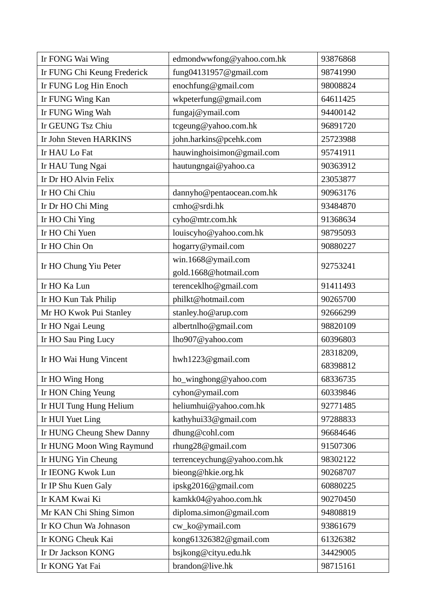| Ir FONG Wai Wing            | edmondwwfong@yahoo.com.hk   | 93876868  |
|-----------------------------|-----------------------------|-----------|
| Ir FUNG Chi Keung Frederick | fung04131957@gmail.com      | 98741990  |
| Ir FUNG Log Hin Enoch       | enochfung@gmail.com         | 98008824  |
| Ir FUNG Wing Kan            | wkpeterfung@gmail.com       | 64611425  |
| Ir FUNG Wing Wah            | fungaj@ymail.com            | 94400142  |
| Ir GEUNG Tsz Chiu           | tcgeung@yahoo.com.hk        | 96891720  |
| Ir John Steven HARKINS      | john.harkins@pcehk.com      | 25723988  |
| Ir HAU Lo Fat               | hauwinghoisimon@gmail.com   | 95741911  |
| Ir HAU Tung Ngai            | hautungngai@yahoo.ca        | 90363912  |
| Ir Dr HO Alvin Felix        |                             | 23053877  |
| Ir HO Chi Chiu              | dannyho@pentaocean.com.hk   | 90963176  |
| Ir Dr HO Chi Ming           | cmho@srdi.hk                | 93484870  |
| Ir HO Chi Ying              | cyho@mtr.com.hk             | 91368634  |
| Ir HO Chi Yuen              | louiscyho@yahoo.com.hk      | 98795093  |
| Ir HO Chin On               | hogarry@ymail.com           | 90880227  |
|                             | win.1668@ymail.com          |           |
| Ir HO Chung Yiu Peter       | gold.1668@hotmail.com       | 92753241  |
| Ir HO Ka Lun                | terenceklho@gmail.com       | 91411493  |
| Ir HO Kun Tak Philip        | philkt@hotmail.com          | 90265700  |
| Mr HO Kwok Pui Stanley      | stanley.ho@arup.com         | 92666299  |
| Ir HO Ngai Leung            | albertnlho@gmail.com        | 98820109  |
| Ir HO Sau Ping Lucy         | lho907@yahoo.com            | 60396803  |
|                             |                             | 28318209, |
| Ir HO Wai Hung Vincent      | hwh1223@gmail.com           | 68398812  |
| Ir HO Wing Hong             | ho_winghong@yahoo.com       | 68336735  |
| Ir HON Ching Yeung          | cyhon@ymail.com             | 60339846  |
| Ir HUI Tung Hung Helium     | heliumhui@yahoo.com.hk      | 92771485  |
| Ir HUI Yuet Ling            | kathyhui33@gmail.com        | 97288833  |
| Ir HUNG Cheung Shew Danny   | dhung@cohl.com              | 96684646  |
| Ir HUNG Moon Wing Raymund   | rhung28@gmail.com           | 91507306  |
| Ir HUNG Yin Cheung          | terrenceychung@yahoo.com.hk | 98302122  |
| Ir IEONG Kwok Lun           | bieong@hkie.org.hk          | 90268707  |
| Ir IP Shu Kuen Galy         | ipskg2016@gmail.com         | 60880225  |
| Ir KAM Kwai Ki              | kamkk04@yahoo.com.hk        | 90270450  |
| Mr KAN Chi Shing Simon      | diploma.simon@gmail.com     | 94808819  |
| Ir KO Chun Wa Johnason      | cw_ko@ymail.com             | 93861679  |
| Ir KONG Cheuk Kai           | kong61326382@gmail.com      | 61326382  |
| Ir Dr Jackson KONG          | bsjkong@cityu.edu.hk        | 34429005  |
| Ir KONG Yat Fai             | brandon@live.hk             | 98715161  |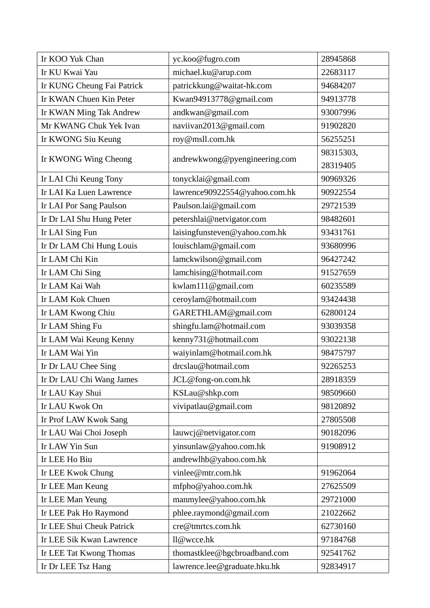| Ir KOO Yuk Chan            | yc.koo@fugro.com              | 28945868  |
|----------------------------|-------------------------------|-----------|
| Ir KU Kwai Yau             | michael.ku@arup.com           | 22683117  |
| Ir KUNG Cheung Fai Patrick | patrickkung@waitat-hk.com     | 94684207  |
| Ir KWAN Chuen Kin Peter    | Kwan94913778@gmail.com        | 94913778  |
| Ir KWAN Ming Tak Andrew    | andkwan@gmail.com             | 93007996  |
| Mr KWANG Chuk Yek Ivan     | naviivan2013@gmail.com        | 91902820  |
| Ir KWONG Siu Keung         | roy@msll.com.hk               | 56255251  |
|                            |                               | 98315303, |
| Ir KWONG Wing Cheong       | andrewkwong@pyengineering.com | 28319405  |
| Ir LAI Chi Keung Tony      | tonycklai@gmail.com           | 90969326  |
| Ir LAI Ka Luen Lawrence    | lawrence90922554@yahoo.com.hk | 90922554  |
| Ir LAI Por Sang Paulson    | Paulson.lai@gmail.com         | 29721539  |
| Ir Dr LAI Shu Hung Peter   | petershlai@netvigator.com     | 98482601  |
| Ir LAI Sing Fun            | laisingfunsteven@yahoo.com.hk | 93431761  |
| Ir Dr LAM Chi Hung Louis   | louischlam@gmail.com          | 93680996  |
| Ir LAM Chi Kin             | lamckwilson@gmail.com         | 96427242  |
| Ir LAM Chi Sing            | lamchising@hotmail.com        | 91527659  |
| Ir LAM Kai Wah             | kwlam111@gmail.com            | 60235589  |
| Ir LAM Kok Chuen           | ceroylam@hotmail.com          | 93424438  |
| Ir LAM Kwong Chiu          | GARETHLAM@gmail.com           | 62800124  |
| Ir LAM Shing Fu            | shingfu.lam@hotmail.com       | 93039358  |
| Ir LAM Wai Keung Kenny     | kenny731@hotmail.com          | 93022138  |
| Ir LAM Wai Yin             | waiyinlam@hotmail.com.hk      | 98475797  |
| Ir Dr LAU Chee Sing        | drcslau@hotmail.com           | 92265253  |
| Ir Dr LAU Chi Wang James   | JCL@fong-on.com.hk            | 28918359  |
| Ir LAU Kay Shui            | KSLau@shkp.com                | 98509660  |
| Ir LAU Kwok On             | vivipatlau@gmail.com          | 98120892  |
| Ir Prof LAW Kwok Sang      |                               | 27805508  |
| Ir LAU Wai Choi Joseph     | lauwcj@netvigator.com         | 90182096  |
| Ir LAW Yin Sun             | yinsunlaw@yahoo.com.hk        | 91908912  |
| Ir LEE Ho Biu              | andrewlhb@yahoo.com.hk        |           |
| Ir LEE Kwok Chung          | vinlee@mtr.com.hk             | 91962064  |
| Ir LEE Man Keung           | mfpho@yahoo.com.hk            | 27625509  |
| Ir LEE Man Yeung           | manmylee@yahoo.com.hk         | 29721000  |
| Ir LEE Pak Ho Raymond      | phlee.raymond@gmail.com       | 21022662  |
| Ir LEE Shui Cheuk Patrick  | cre@tmrtcs.com.hk             | 62730160  |
| Ir LEE Sik Kwan Lawrence   | ll@wcce.hk                    | 97184768  |
| Ir LEE Tat Kwong Thomas    | thomastklee@hgcbroadband.com  | 92541762  |
| Ir Dr LEE Tsz Hang         | lawrence.lee@graduate.hku.hk  | 92834917  |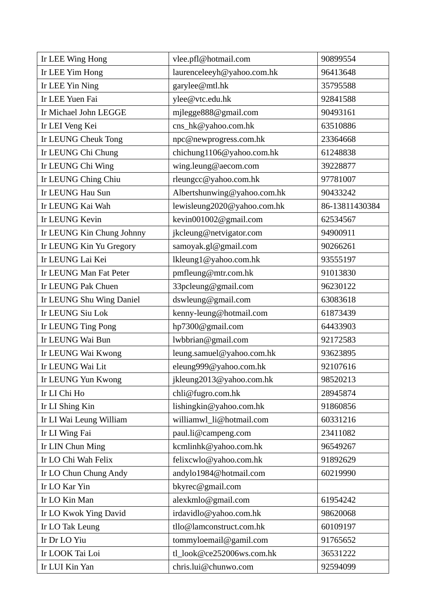| Ir LEE Wing Hong          | vlee.pfl@hotmail.com        | 90899554       |
|---------------------------|-----------------------------|----------------|
| Ir LEE Yim Hong           | laurenceleeyh@yahoo.com.hk  | 96413648       |
| Ir LEE Yin Ning           | garylee@mtl.hk              | 35795588       |
| Ir LEE Yuen Fai           | ylee@vtc.edu.hk             | 92841588       |
| Ir Michael John LEGGE     | mjlegge888@gmail.com        | 90493161       |
| Ir LEI Veng Kei           | cns_hk@yahoo.com.hk         | 63510886       |
| Ir LEUNG Cheuk Tong       | npc@newprogress.com.hk      | 23364668       |
| Ir LEUNG Chi Chung        | chichung1106@yahoo.com.hk   | 61248838       |
| Ir LEUNG Chi Wing         | wing.leung@aecom.com        | 39228877       |
| Ir LEUNG Ching Chiu       | rleungcc@yahoo.com.hk       | 97781007       |
| Ir LEUNG Hau Sun          | Albertshunwing@yahoo.com.hk | 90433242       |
| Ir LEUNG Kai Wah          | lewisleung2020@yahoo.com.hk | 86-13811430384 |
| Ir LEUNG Kevin            | kevin001002@gmail.com       | 62534567       |
| Ir LEUNG Kin Chung Johnny | jkcleung@netvigator.com     | 94900911       |
| Ir LEUNG Kin Yu Gregory   | samoyak.gl@gmail.com        | 90266261       |
| Ir LEUNG Lai Kei          | lkleung1@yahoo.com.hk       | 93555197       |
| Ir LEUNG Man Fat Peter    | pmfleung@mtr.com.hk         | 91013830       |
| Ir LEUNG Pak Chuen        | 33pcleung@gmail.com         | 96230122       |
| Ir LEUNG Shu Wing Daniel  | dswleung@gmail.com          | 63083618       |
| Ir LEUNG Siu Lok          | kenny-leung@hotmail.com     | 61873439       |
| Ir LEUNG Ting Pong        | hp7300@gmail.com            | 64433903       |
| Ir LEUNG Wai Bun          | lwbbrian@gmail.com          | 92172583       |
| Ir LEUNG Wai Kwong        | leung.samuel@yahoo.com.hk   | 93623895       |
| Ir LEUNG Wai Lit          | eleung999@yahoo.com.hk      | 92107616       |
| Ir LEUNG Yun Kwong        | jkleung2013@yahoo.com.hk    | 98520213       |
| Ir LI Chi Ho              | chli@fugro.com.hk           | 28945874       |
| Ir LI Shing Kin           | lishingkin@yahoo.com.hk     | 91860856       |
| Ir LI Wai Leung William   | williamwl_li@hotmail.com    | 60331216       |
| Ir LI Wing Fai            | paul.li@campeng.com         | 23411082       |
| Ir LIN Chun Ming          | kcmlinhk@yahoo.com.hk       | 96549267       |
| Ir LO Chi Wah Felix       | felixcwlo@yahoo.com.hk      | 91892629       |
| Ir LO Chun Chung Andy     | andylo1984@hotmail.com      | 60219990       |
| Ir LO Kar Yin             | bkyrec@gmail.com            |                |
| Ir LO Kin Man             | alexkmlo@gmail.com          | 61954242       |
| Ir LO Kwok Ying David     | irdavidlo@yahoo.com.hk      | 98620068       |
| Ir LO Tak Leung           | tllo@lamconstruct.com.hk    | 60109197       |
| Ir Dr LO Yiu              | tommyloemail@gamil.com      | 91765652       |
| Ir LOOK Tai Loi           | tl_look@ce252006ws.com.hk   | 36531222       |
| Ir LUI Kin Yan            | chris.lui@chunwo.com        | 92594099       |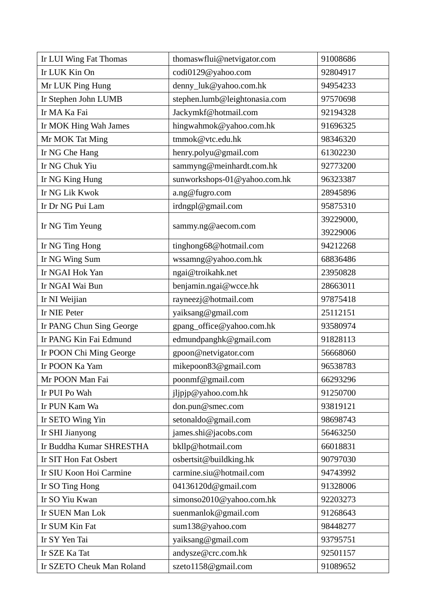| Ir LUI Wing Fat Thomas    | thomaswflui@netvigator.com    | 91008686  |
|---------------------------|-------------------------------|-----------|
| Ir LUK Kin On             | codi0129@yahoo.com            | 92804917  |
| Mr LUK Ping Hung          | denny_luk@yahoo.com.hk        | 94954233  |
| Ir Stephen John LUMB      | stephen.lumb@leightonasia.com | 97570698  |
| Ir MA Ka Fai              | Jackymkf@hotmail.com          | 92194328  |
| Ir MOK Hing Wah James     | hingwahmok@yahoo.com.hk       | 91696325  |
| Mr MOK Tat Ming           | tmmok@vtc.edu.hk              | 98346320  |
| Ir NG Che Hang            | henry.polyu@gmail.com         | 61302230  |
| Ir NG Chuk Yiu            | sammyng@meinhardt.com.hk      | 92773200  |
| Ir NG King Hung           | sunworkshops-01@yahoo.com.hk  | 96323387  |
| Ir NG Lik Kwok            | a.ng@fugro.com                | 28945896  |
| Ir Dr NG Pui Lam          | irdngpl@gmail.com             | 95875310  |
|                           |                               | 39229000, |
| Ir NG Tim Yeung           | sammy.ng@aecom.com            | 39229006  |
| Ir NG Ting Hong           | tinghong68@hotmail.com        | 94212268  |
| Ir NG Wing Sum            | wssamng@yahoo.com.hk          | 68836486  |
| Ir NGAI Hok Yan           | ngai@troikahk.net             | 23950828  |
| Ir NGAI Wai Bun           | benjamin.ngai@wcce.hk         | 28663011  |
| Ir NI Weijian             | rayneezj@hotmail.com          | 97875418  |
| Ir NIE Peter              | yaiksang@gmail.com            | 25112151  |
| Ir PANG Chun Sing George  | gpang_office@yahoo.com.hk     | 93580974  |
| Ir PANG Kin Fai Edmund    | edmundpanghk@gmail.com        | 91828113  |
| Ir POON Chi Ming George   | gpoon@netvigator.com          | 56668060  |
| Ir POON Ka Yam            | mikepoon83@gmail.com          | 96538783  |
| Mr POON Man Fai           | poonmf@gmail.com              | 66293296  |
| Ir PUI Po Wah             | jljpjp@yahoo.com.hk           | 91250700  |
| Ir PUN Kam Wa             | don.pun@smec.com              | 93819121  |
| Ir SETO Wing Yin          | setonaldo@gmail.com           | 98698743  |
| Ir SHI Jianyong           | james.shi@jacobs.com          | 56463250  |
| Ir Buddha Kumar SHRESTHA  | bkllp@hotmail.com             | 66018831  |
| Ir SIT Hon Fat Osbert     | osbertsit@buildking.hk        | 90797030  |
| Ir SIU Koon Hoi Carmine   | carmine.siu@hotmail.com       | 94743992  |
| Ir SO Ting Hong           | 04136120d@gmail.com           | 91328006  |
| Ir SO Yiu Kwan            | simonso2010@yahoo.com.hk      | 92203273  |
| Ir SUEN Man Lok           | suenmanlok@gmail.com          | 91268643  |
| Ir SUM Kin Fat            | sum138@yahoo.com              | 98448277  |
| Ir SY Yen Tai             | yaiksang@gmail.com            | 93795751  |
| Ir SZE Ka Tat             | andysze@crc.com.hk            | 92501157  |
| Ir SZETO Cheuk Man Roland | szeto1158@gmail.com           | 91089652  |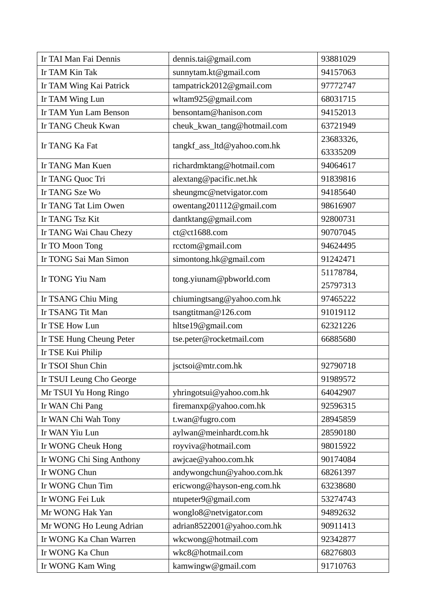| Ir TAI Man Fai Dennis    | dennis.tai@gmail.com        | 93881029  |
|--------------------------|-----------------------------|-----------|
| Ir TAM Kin Tak           | sunnytam.kt@gmail.com       | 94157063  |
| Ir TAM Wing Kai Patrick  | tampatrick2012@gmail.com    | 97772747  |
| Ir TAM Wing Lun          | wltam925@gmail.com          | 68031715  |
| Ir TAM Yun Lam Benson    | bensontam@hanison.com       | 94152013  |
| Ir TANG Cheuk Kwan       | cheuk_kwan_tang@hotmail.com | 63721949  |
|                          |                             | 23683326, |
| Ir TANG Ka Fat           | tangkf_ass_ltd@yahoo.com.hk | 63335209  |
| Ir TANG Man Kuen         | richardmktang@hotmail.com   | 94064617  |
| Ir TANG Quoc Tri         | alextang@pacific.net.hk     | 91839816  |
| Ir TANG Sze Wo           | sheungmc@netvigator.com     | 94185640  |
| Ir TANG Tat Lim Owen     | owentang201112@gmail.com    | 98616907  |
| Ir TANG Tsz Kit          | dantktang@gmail.com         | 92800731  |
| Ir TANG Wai Chau Chezy   | ct@ct1688.com               | 90707045  |
| Ir TO Moon Tong          | rcctom@gmail.com            | 94624495  |
| Ir TONG Sai Man Simon    | simontong.hk@gmail.com      | 91242471  |
|                          |                             | 51178784, |
| Ir TONG Yiu Nam          | tong.yiunam@pbworld.com     | 25797313  |
| Ir TSANG Chiu Ming       | chiumingtsang@yahoo.com.hk  | 97465222  |
| Ir TSANG Tit Man         | tsangtitman@126.com         | 91019112  |
| Ir TSE How Lun           | hltse19@gmail.com           | 62321226  |
| Ir TSE Hung Cheung Peter | tse.peter@rocketmail.com    | 66885680  |
| Ir TSE Kui Philip        |                             |           |
| Ir TSOI Shun Chin        | jsctsoi@mtr.com.hk          | 92790718  |
| Ir TSUI Leung Cho George |                             | 91989572  |
| Mr TSUI Yu Hong Ringo    | yhringotsui@yahoo.com.hk    | 64042907  |
| Ir WAN Chi Pang          | firemanxp@yahoo.com.hk      | 92596315  |
| Ir WAN Chi Wah Tony      | t.wan@fugro.com             | 28945859  |
| Ir WAN Yiu Lun           | aylwan@meinhardt.com.hk     | 28590180  |
| Ir WONG Cheuk Hong       | royviva@hotmail.com         | 98015922  |
| Ir WONG Chi Sing Anthony | awjcae@yahoo.com.hk         | 90174084  |
| Ir WONG Chun             | andywongchun@yahoo.com.hk   | 68261397  |
| Ir WONG Chun Tim         | ericwong@hayson-eng.com.hk  | 63238680  |
| Ir WONG Fei Luk          | ntupeter9@gmail.com         | 53274743  |
| Mr WONG Hak Yan          | wonglo8@netvigator.com      | 94892632  |
| Mr WONG Ho Leung Adrian  | adrian8522001@yahoo.com.hk  | 90911413  |
| Ir WONG Ka Chan Warren   | wkcwong@hotmail.com         | 92342877  |
| Ir WONG Ka Chun          | wkc8@hotmail.com            | 68276803  |
| Ir WONG Kam Wing         | kamwingw@gmail.com          | 91710763  |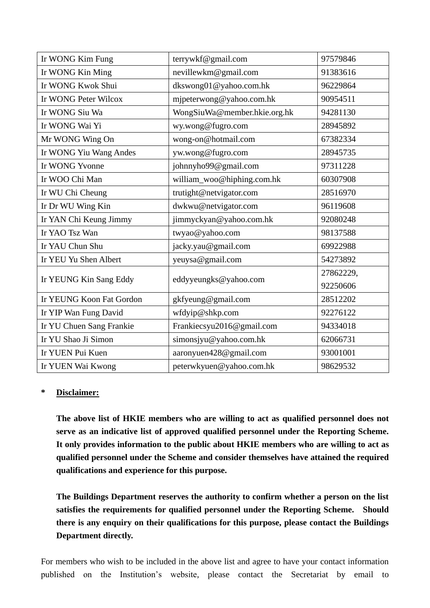| Ir WONG Kim Fung         | terrywkf@gmail.com           | 97579846  |
|--------------------------|------------------------------|-----------|
| Ir WONG Kin Ming         | nevillewkm@gmail.com         | 91383616  |
| Ir WONG Kwok Shui        | dkswong01@yahoo.com.hk       | 96229864  |
| Ir WONG Peter Wilcox     | mjpeterwong@yahoo.com.hk     | 90954511  |
| Ir WONG Siu Wa           | WongSiuWa@member.hkie.org.hk | 94281130  |
| Ir WONG Wai Yi           | wy.wong@fugro.com            | 28945892  |
| Mr WONG Wing On          | wong-on@hotmail.com          | 67382334  |
| Ir WONG Yiu Wang Andes   | yw.wong@fugro.com            | 28945735  |
| Ir WONG Yvonne           | johnnyho99@gmail.com         | 97311228  |
| Ir WOO Chi Man           | william_woo@hiphing.com.hk   | 60307908  |
| Ir WU Chi Cheung         | trutight@netvigator.com      | 28516970  |
| Ir Dr WU Wing Kin        | dwkwu@netvigator.com         | 96119608  |
| Ir YAN Chi Keung Jimmy   | jimmyckyan@yahoo.com.hk      | 92080248  |
| Ir YAO Tsz Wan           | twyao@yahoo.com              | 98137588  |
| Ir YAU Chun Shu          | jacky.yau@gmail.com          | 69922988  |
| Ir YEU Yu Shen Albert    | yeuysa@gmail.com             | 54273892  |
|                          | eddyyeungks@yahoo.com        | 27862229, |
| Ir YEUNG Kin Sang Eddy   |                              | 92250606  |
| Ir YEUNG Koon Fat Gordon | gkfyeung@gmail.com           | 28512202  |
| Ir YIP Wan Fung David    | wfdyip@shkp.com              | 92276122  |
| Ir YU Chuen Sang Frankie | Frankiecsyu2016@gmail.com    | 94334018  |
| Ir YU Shao Ji Simon      | simonsjyu@yahoo.com.hk       | 62066731  |
| Ir YUEN Pui Kuen         | aaronyuen428@gmail.com       | 93001001  |
| Ir YUEN Wai Kwong        | peterwkyuen@yahoo.com.hk     | 98629532  |

## **\* Disclaimer:**

**The above list of HKIE members who are willing to act as qualified personnel does not serve as an indicative list of approved qualified personnel under the Reporting Scheme. It only provides information to the public about HKIE members who are willing to act as qualified personnel under the Scheme and consider themselves have attained the required qualifications and experience for this purpose.**

**The Buildings Department reserves the authority to confirm whether a person on the list satisfies the requirements for qualified personnel under the Reporting Scheme. Should there is any enquiry on their qualifications for this purpose, please contact the Buildings Department directly.**

For members who wish to be included in the above list and agree to have your contact information published on the Institution's website, please contact the Secretariat by email to